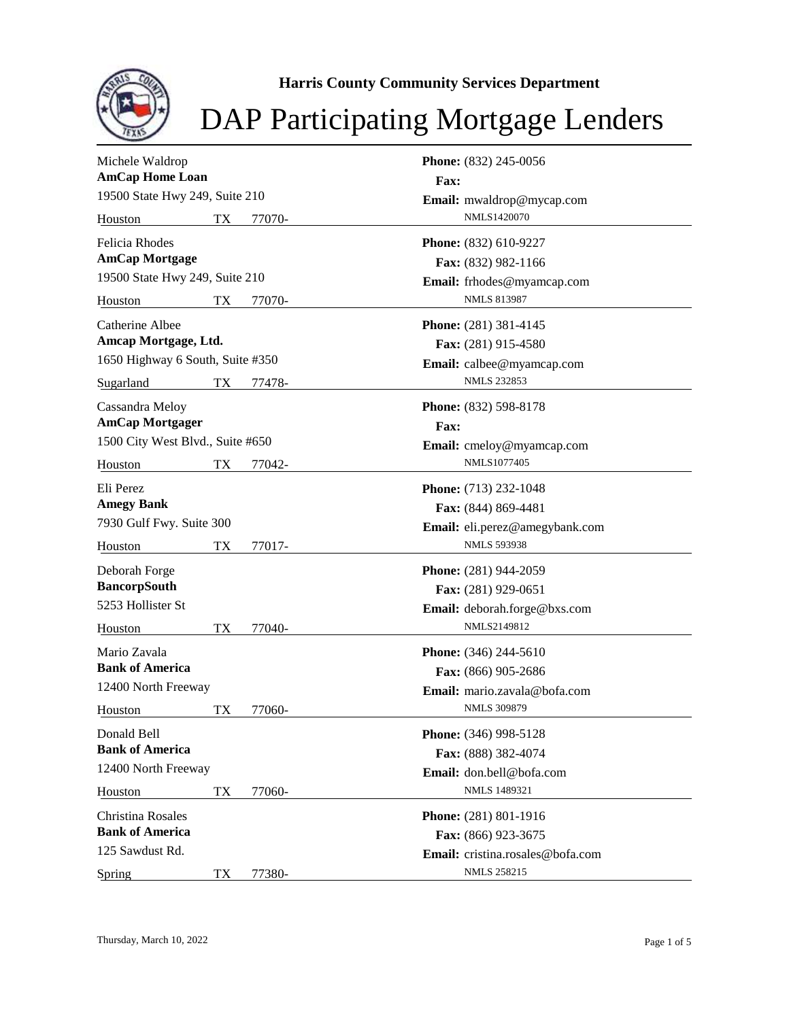

**Harris County Community Services Department**

## DAP Participating Mortgage Lenders

| Michele Waldrop                  | Phone: (832) 245-0056                   |
|----------------------------------|-----------------------------------------|
| <b>AmCap Home Loan</b>           | Fax:                                    |
| 19500 State Hwy 249, Suite 210   | Email: mwaldrop@mycap.com               |
| TX<br>77070-<br>Houston          | NMLS1420070                             |
| <b>Felicia Rhodes</b>            | Phone: (832) 610-9227                   |
| <b>AmCap Mortgage</b>            | Fax: (832) 982-1166                     |
| 19500 State Hwy 249, Suite 210   | Email: frhodes@myamcap.com              |
| Houston<br>TX<br>77070-          | <b>NMLS 813987</b>                      |
| Catherine Albee                  | Phone: (281) 381-4145                   |
| Amcap Mortgage, Ltd.             | Fax: (281) 915-4580                     |
| 1650 Highway 6 South, Suite #350 | Email: calbee@myamcap.com               |
| Sugarland<br>TX<br>77478-        | <b>NMLS 232853</b>                      |
| Cassandra Meloy                  | Phone: (832) 598-8178                   |
| <b>AmCap Mortgager</b>           | <b>Fax:</b>                             |
| 1500 City West Blvd., Suite #650 | Email: cmeloy@myamcap.com               |
| TX<br>77042-<br>Houston          | NMLS1077405                             |
| Eli Perez                        | Phone: (713) 232-1048                   |
| <b>Amegy Bank</b>                | Fax: (844) 869-4481                     |
| 7930 Gulf Fwy. Suite 300         | Email: eli.perez@amegybank.com          |
| TX<br>Houston<br>77017-          | <b>NMLS 593938</b>                      |
| Deborah Forge                    | Phone: (281) 944-2059                   |
| <b>BancorpSouth</b>              | Fax: (281) 929-0651                     |
| 5253 Hollister St                | Email: deborah.forge@bxs.com            |
| TX<br>77040-<br>Houston          | NMLS2149812                             |
| Mario Zavala                     | <b>Phone:</b> (346) 244-5610            |
| <b>Bank of America</b>           | Fax: (866) 905-2686                     |
| 12400 North Freeway              | <b>Email:</b> mario.zavala@bofa.com     |
| 77060-<br>Houston<br>TХ          | <b>NMLS 309879</b>                      |
| Donald Bell                      | Phone: (346) 998-5128                   |
| <b>Bank of America</b>           | Fax: (888) 382-4074                     |
| 12400 North Freeway              | Email: don.bell@bofa.com                |
| Houston<br>TX<br>77060-          | <b>NMLS 1489321</b>                     |
| Christina Rosales                | Phone: (281) 801-1916                   |
| <b>Bank of America</b>           | Fax: (866) 923-3675                     |
| 125 Sawdust Rd.                  | <b>Email:</b> cristina.rosales@bofa.com |
| 77380-<br>Spring<br>TX           | <b>NMLS 258215</b>                      |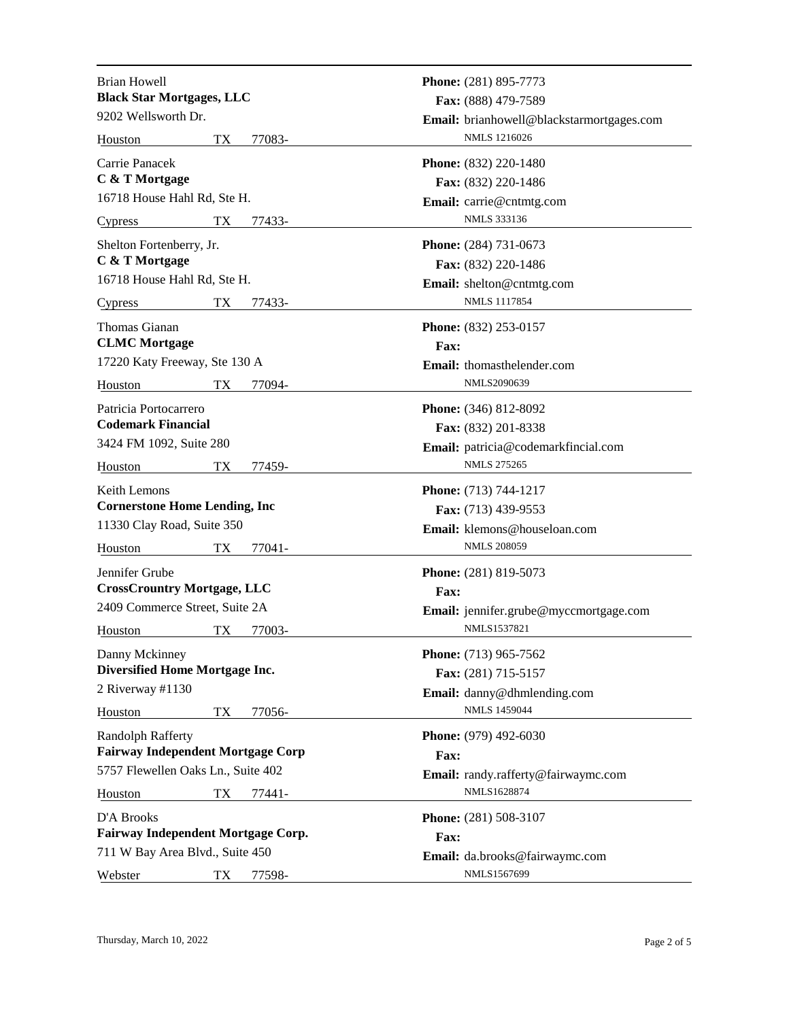| <b>Brian Howell</b>                                  | Phone: (281) 895-7773                                 |
|------------------------------------------------------|-------------------------------------------------------|
| <b>Black Star Mortgages, LLC</b>                     | Fax: (888) 479-7589                                   |
| 9202 Wellsworth Dr.                                  | Email: brianhowell@blackstarmortgages.com             |
| TX<br>77083-<br>Houston                              | NMLS 1216026                                          |
| Carrie Panacek                                       | Phone: (832) 220-1480                                 |
| C & T Mortgage                                       | Fax: (832) 220-1486                                   |
| 16718 House Hahl Rd, Ste H.                          | Email: carrie@cntmtg.com                              |
| TX<br>77433-<br><b>Cypress</b>                       | <b>NMLS 333136</b>                                    |
|                                                      |                                                       |
| Shelton Fortenberry, Jr.<br>C & T Mortgage           | <b>Phone:</b> (284) 731-0673                          |
| 16718 House Hahl Rd, Ste H.                          | Fax: (832) 220-1486                                   |
|                                                      | Email: shelton@cntmtg.com<br><b>NMLS 1117854</b>      |
| TX<br>77433-<br>Cypress                              |                                                       |
| Thomas Gianan                                        | Phone: (832) 253-0157                                 |
| <b>CLMC</b> Mortgage                                 | Fax:                                                  |
| 17220 Katy Freeway, Ste 130 A                        | Email: thomasthelender.com                            |
| 77094-<br>TХ<br>Houston                              | NMLS2090639                                           |
| Patricia Portocarrero                                | Phone: (346) 812-8092                                 |
| <b>Codemark Financial</b>                            | Fax: (832) 201-8338                                   |
| 3424 FM 1092, Suite 280                              | Email: patricia@codemarkfincial.com                   |
| TX<br>Houston<br>77459-                              | <b>NMLS 275265</b>                                    |
| <b>Keith Lemons</b>                                  | <b>Phone:</b> (713) 744-1217                          |
| <b>Cornerstone Home Lending, Inc.</b>                | Fax: (713) 439-9553                                   |
| 11330 Clay Road, Suite 350                           | Email: klemons@houseloan.com                          |
| TX<br>77041-<br>Houston                              | <b>NMLS 208059</b>                                    |
|                                                      |                                                       |
| Jennifer Grube<br><b>CrossCrountry Mortgage, LLC</b> | Phone: (281) 819-5073                                 |
| 2409 Commerce Street, Suite 2A                       | Fax:                                                  |
|                                                      | Email: jennifer.grube@myccmortgage.com<br>NMLS1537821 |
| 77003-<br>TX<br>Houston                              |                                                       |
| Danny Mckinney                                       | Phone: (713) 965-7562                                 |
| <b>Diversified Home Mortgage Inc.</b>                | Fax: (281) 715-5157                                   |
| 2 Riverway #1130                                     | Email: danny@dhmlending.com                           |
| Houston<br>TX<br>77056-                              | <b>NMLS 1459044</b>                                   |
| Randolph Rafferty                                    | Phone: (979) 492-6030                                 |
| <b>Fairway Independent Mortgage Corp</b>             | Fax:                                                  |
| 5757 Flewellen Oaks Ln., Suite 402                   | Email: randy.rafferty@fairwaymc.com                   |
| Houston<br>TX<br>77441-                              | NMLS1628874                                           |
| D'A Brooks                                           | Phone: (281) 508-3107                                 |
| Fairway Independent Mortgage Corp.                   | Fax:                                                  |
| 711 W Bay Area Blvd., Suite 450                      | Email: da.brooks@fairwaymc.com                        |
| Webster<br>TX<br>77598-                              | NMLS1567699                                           |
|                                                      |                                                       |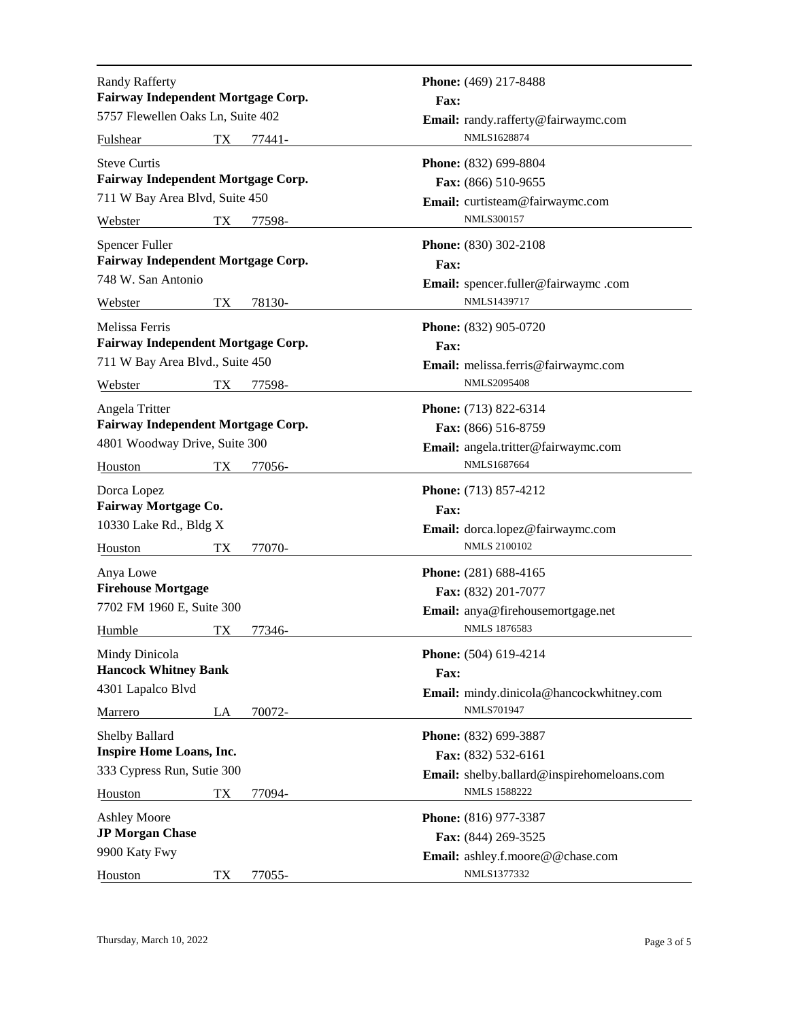| <b>Randy Rafferty</b><br>Fairway Independent Mortgage Corp.         | Phone: (469) 217-8488<br><b>Fax:</b>                     |
|---------------------------------------------------------------------|----------------------------------------------------------|
| 5757 Flewellen Oaks Ln, Suite 402                                   | Email: randy.rafferty@fairwaymc.com                      |
| Fulshear<br>TХ<br>77441-                                            | NMLS1628874                                              |
| <b>Steve Curtis</b><br>Fairway Independent Mortgage Corp.           | Phone: (832) 699-8804<br>Fax: (866) 510-9655             |
| 711 W Bay Area Blvd, Suite 450                                      | Email: curtisteam@fairwaymc.com                          |
| TX<br>Webster<br>77598-                                             | <b>NMLS300157</b>                                        |
| <b>Spencer Fuller</b><br>Fairway Independent Mortgage Corp.         | <b>Phone:</b> (830) 302-2108<br>Fax:                     |
| 748 W. San Antonio                                                  | Email: spencer.fuller@fairwaymc.com                      |
| 78130-<br>Webster<br>TX                                             | NMLS1439717                                              |
| Melissa Ferris<br>Fairway Independent Mortgage Corp.                | <b>Phone:</b> (832) 905-0720<br>Fax:                     |
| 711 W Bay Area Blvd., Suite 450                                     | Email: melissa.ferris@fairwaymc.com                      |
| Webster<br>77598-<br>TХ                                             | <b>NMLS2095408</b>                                       |
| Angela Tritter<br>Fairway Independent Mortgage Corp.                | Phone: (713) 822-6314                                    |
| 4801 Woodway Drive, Suite 300                                       | Fax: (866) 516-8759                                      |
| TX<br>Houston<br>77056-                                             | Email: angela.tritter@fairwaymc.com<br>NMLS1687664       |
| Dorca Lopez<br>Fairway Mortgage Co.                                 | <b>Phone:</b> (713) 857-4212<br>Fax:                     |
| 10330 Lake Rd., Bldg X                                              | Email: dorca.lopez@fairwaymc.com                         |
| TX<br>77070-<br>Houston                                             | <b>NMLS 2100102</b>                                      |
| Anya Lowe<br><b>Firehouse Mortgage</b><br>7702 FM 1960 E, Suite 300 | Phone: (281) 688-4165<br>Fax: (832) 201-7077             |
| Humble<br>77346-<br>TX                                              | Email: anya@firehousemortgage.net<br><b>NMLS 1876583</b> |
| Mindy Dinicola<br><b>Hancock Whitney Bank</b>                       | Phone: (504) 619-4214<br>Fax:                            |
| 4301 Lapalco Blvd                                                   | Email: mindy.dinicola@hancockwhitney.com                 |
| Marrero<br>LA<br>70072-                                             | <b>NMLS701947</b>                                        |
| <b>Shelby Ballard</b><br><b>Inspire Home Loans, Inc.</b>            | Phone: (832) 699-3887<br>Fax: (832) 532-6161             |
| 333 Cypress Run, Sutie 300                                          | Email: shelby.ballard@inspirehomeloans.com               |
| 77094-<br>Houston<br>TX                                             | <b>NMLS 1588222</b>                                      |
| <b>Ashley Moore</b>                                                 | Phone: (816) 977-3387                                    |
| <b>JP Morgan Chase</b>                                              | Fax: (844) 269-3525                                      |
| 9900 Katy Fwy                                                       | Email: ashley.f.moore@@chase.com                         |
| Houston<br>TX<br>77055-                                             | NMLS1377332                                              |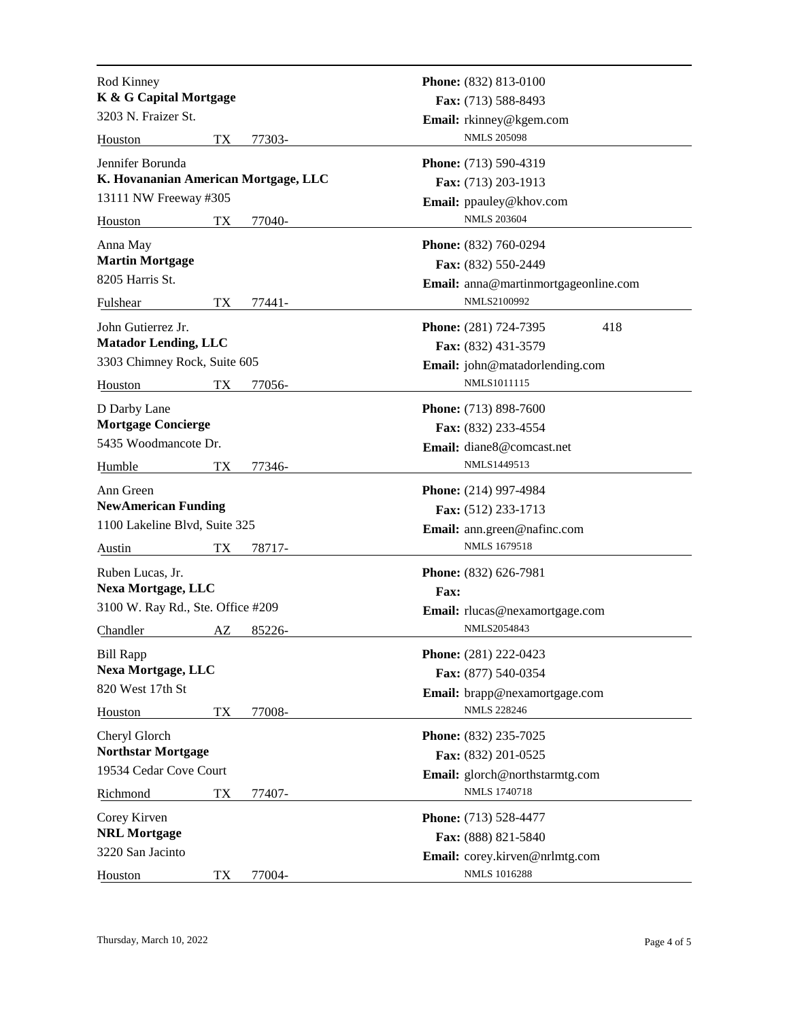| Rod Kinney                           |    |        |             | Phone: (832) 813-0100                |     |
|--------------------------------------|----|--------|-------------|--------------------------------------|-----|
| K & G Capital Mortgage               |    |        |             | Fax: (713) 588-8493                  |     |
| 3203 N. Fraizer St.                  |    |        |             | Email: rkinney@kgem.com              |     |
| Houston                              | TX | 77303- |             | <b>NMLS 205098</b>                   |     |
| Jennifer Borunda                     |    |        |             | Phone: (713) 590-4319                |     |
| K. Hovananian American Mortgage, LLC |    |        |             | Fax: (713) 203-1913                  |     |
| 13111 NW Freeway #305                |    |        |             | Email: ppauley@khov.com              |     |
| Houston                              | TX | 77040- |             | <b>NMLS 203604</b>                   |     |
| Anna May                             |    |        |             | Phone: (832) 760-0294                |     |
| <b>Martin Mortgage</b>               |    |        |             | Fax: (832) 550-2449                  |     |
| 8205 Harris St.                      |    |        |             | Email: anna@martinmortgageonline.com |     |
| Fulshear                             | TX | 77441- |             | NMLS2100992                          |     |
| John Gutierrez Jr.                   |    |        |             | Phone: (281) 724-7395                | 418 |
| <b>Matador Lending, LLC</b>          |    |        |             | Fax: (832) 431-3579                  |     |
| 3303 Chimney Rock, Suite 605         |    |        |             | Email: john@matadorlending.com       |     |
| Houston                              | TХ | 77056- |             | NMLS1011115                          |     |
| D Darby Lane                         |    |        |             | Phone: (713) 898-7600                |     |
| <b>Mortgage Concierge</b>            |    |        |             | Fax: (832) 233-4554                  |     |
| 5435 Woodmancote Dr.                 |    |        |             | Email: diane8@comcast.net            |     |
| Humble                               | TХ | 77346- |             | NMLS1449513                          |     |
| Ann Green                            |    |        |             | <b>Phone:</b> (214) 997-4984         |     |
| <b>NewAmerican Funding</b>           |    |        |             | Fax: (512) 233-1713                  |     |
| 1100 Lakeline Blvd, Suite 325        |    |        |             | Email: ann.green@nafinc.com          |     |
| Austin                               | TX | 78717- |             | NMLS 1679518                         |     |
| Ruben Lucas, Jr.                     |    |        |             | Phone: (832) 626-7981                |     |
| <b>Nexa Mortgage, LLC</b>            |    |        | <b>Fax:</b> |                                      |     |
| 3100 W. Ray Rd., Ste. Office #209    |    |        |             | Email: rlucas@nexamortgage.com       |     |
| Chandler                             | AZ | 85226- |             | NMLS2054843                          |     |
| <b>Bill Rapp</b>                     |    |        |             | Phone: (281) 222-0423                |     |
| <b>Nexa Mortgage, LLC</b>            |    |        |             | Fax: (877) 540-0354                  |     |
| 820 West 17th St                     |    |        |             | Email: brapp@nexamortgage.com        |     |
| Houston                              | TX | 77008- |             | <b>NMLS 228246</b>                   |     |
| Cheryl Glorch                        |    |        |             | Phone: (832) 235-7025                |     |
| <b>Northstar Mortgage</b>            |    |        |             | Fax: (832) 201-0525                  |     |
| 19534 Cedar Cove Court               |    |        |             | Email: glorch@northstarmtg.com       |     |
| Richmond                             | TХ | 77407- |             | NMLS 1740718                         |     |
| Corey Kirven                         |    |        |             | Phone: (713) 528-4477                |     |
| <b>NRL Mortgage</b>                  |    |        |             | Fax: (888) 821-5840                  |     |
| 3220 San Jacinto                     |    |        |             | Email: corey.kirven@nrlmtg.com       |     |
| Houston                              | TX | 77004- |             | <b>NMLS 1016288</b>                  |     |